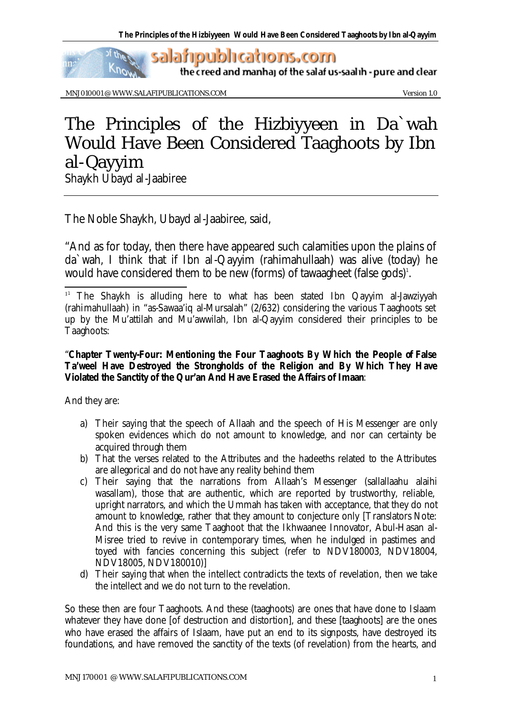

the creed and manhaj of the salaf us-saalih - pure and clear

MNJ010001 @ WWW.SALAFIPUBLICATIONS.COM Version 1.0

 $\omega$ 

## The Principles of the Hizbiyyeen in Da`wah Would Have Been Considered Taaghoots by Ibn al-Qayyim Shaykh Ubayd al-Jaabiree

The Noble Shaykh, Ubayd al-Jaabiree, said,

"And as for today, then there have appeared such calamities upon the plains of da`wah, I think that if Ibn al-Qayyim (rahimahullaah) was alive (today) he would have considered them to be new (forms) of tawaagheet (false gods) $^{\scriptscriptstyle\!1}$ .

## "**Chapter Twenty-Four: Mentioning the Four Taaghoots By Which the People of False Ta'weel Have Destroyed the Strongholds of the Religion and By Which They Have Violated the Sanctity of the Qur'an And Have Erased the Affairs of Imaan**:

And they are:

l

- a) Their saying that the speech of Allaah and the speech of His Messenger are only spoken evidences which do not amount to knowledge, and nor can certainty be acquired through them
- b) That the verses related to the Attributes and the hadeeths related to the Attributes are allegorical and do not have any reality behind them
- *c)* Their saying that the narrations from Allaah's Messenger (sallallaahu alaihi wasallam), those that are authentic, which are reported by trustworthy, reliable, upright narrators, and which the Ummah has taken with acceptance, that they do not amount to knowledge, rather that they amount to conjecture only *[Translators Note: And this is the very same Taaghoot that the Ikhwaanee Innovator, Abul-Hasan al-Misree tried to revive in contemporary times, when he indulged in pastimes and toyed with fancies concerning this subject (refer to NDV180003, NDV18004, NDV18005, NDV180010)]*
- d) Their saying that when the intellect contradicts the texts of revelation, then we take the intellect and we do not turn to the revelation.

So these then are four Taaghoots. And these (taaghoots) are ones that have done to Islaam whatever they have done [of destruction and distortion], and these [taaghoots] are the ones who have erased the affairs of Islaam, have put an end to its signposts, have destroyed its foundations, and have removed the sanctity of the texts (of revelation) from the hearts, and

<sup>&</sup>lt;sup>11</sup> The Shaykh is alluding here to what has been stated Ibn Qayyim al-Jawziyyah (rahimahullaah) in "as-Sawaa'iq al-Mursalah" (2/632) considering the various Taaghoots set up by the Mu'attilah and Mu'awwilah, Ibn al-Qayyim considered their principles to be Taaghoots: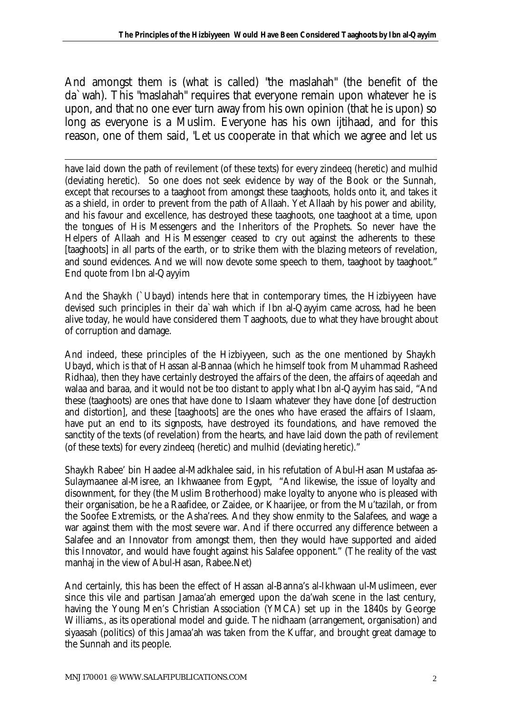And amongst them is (what is called) "the maslahah" (the benefit of the da`wah). This "maslahah" requires that everyone remain upon whatever he is upon, and that no one ever turn away from his own opinion (that he is upon) so long as everyone is a Muslim. Everyone has his own ijtihaad, and for this reason, one of them said, "*Let us cooperate in that which we agree and let us* 

have laid down the path of revilement (of these texts) for every zindeeq (heretic) and mulhid (deviating heretic). So one does not seek evidence by way of the Book or the Sunnah, except that recourses to a taaghoot from amongst these taaghoots, holds onto it, and takes it as a shield, in order to prevent from the path of Allaah. Yet Allaah by his power and ability, and his favour and excellence, has destroyed these taaghoots, one taaghoot at a time, upon the tongues of His Messengers and the Inheritors of the Prophets. So never have the Helpers of Allaah and His Messenger ceased to cry out against the adherents to these [taaghoots] in all parts of the earth, or to strike them with the blazing meteors of revelation, and sound evidences. And we will now devote some speech to them, taaghoot by taaghoot." End quote from Ibn al-Qayyim

And the Shaykh (`Ubayd) intends here that in contemporary times, the Hizbiyyeen have devised such principles in their da`wah which if Ibn al-Qayyim came across, had he been alive today, he would have considered them Taaghoots, due to what they have brought about of corruption and damage.

And indeed, these principles of the Hizbiyyeen, such as the one mentioned by Shaykh Ubayd, which is that of Hassan al-Bannaa (which he himself took from Muhammad Rasheed Ridhaa), then they have certainly destroyed the affairs of the deen, the affairs of aqeedah and walaa and baraa, and it would not be too distant to apply what Ibn al-Qayyim has said, "And these (taaghoots) are ones that have done to Islaam whatever they have done [of destruction and distortion], and these [taaghoots] are the ones who have erased the affairs of Islaam, have put an end to its signposts, have destroyed its foundations, and have removed the sanctity of the texts (of revelation) from the hearts, and have laid down the path of revilement (of these texts) for every zindeeq (heretic) and mulhid (deviating heretic)."

Shaykh Rabee' bin Haadee al-Madkhalee said, in his refutation of Abul-Hasan Mustafaa as-Sulaymaanee al-Misree, an Ikhwaanee from Egypt, "And likewise, the issue of loyalty and disownment, for they (the Muslim Brotherhood) make loyalty to anyone who is pleased with their organisation, be he a Raafidee, or Zaidee, or Khaarijee, or from the Mu'tazilah, or from the Soofee Extremists, or the Asha'rees. And they show enmity to the Salafees, and wage a war against them with the most severe war. And if there occurred any difference between a Salafee and an Innovator from amongst them, then they would have supported and aided this Innovator, and would have fought against his Salafee opponent." (The reality of the vast manhaj in the view of Abul-Hasan, Rabee.Net)

And certainly, this has been the effect of Hassan al-Banna's al-Ikhwaan ul-Muslimeen, ever since this vile and partisan Jamaa'ah emerged upon the da'wah scene in the last century, having the Young Men's Christian Association (YMCA) set up in the 1840s by George Williams., as its operational model and guide. The nidhaam (arrangement, organisation) and siyaasah (politics) of this Jamaa'ah was taken from the Kuffar, and brought great damage to the Sunnah and its people.

l